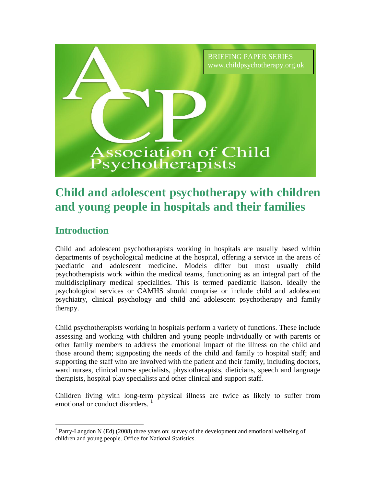

# **Child and adolescent psychotherapy with children and young people in hospitals and their families**

# **Introduction**

 $\overline{a}$ 

Child and adolescent psychotherapists working in hospitals are usually based within departments of psychological medicine at the hospital, offering a service in the areas of paediatric and adolescent medicine. Models differ but most usually child psychotherapists work within the medical teams, functioning as an integral part of the multidisciplinary medical specialities. This is termed paediatric liaison. Ideally the psychological services or CAMHS should comprise or include child and adolescent psychiatry, clinical psychology and child and adolescent psychotherapy and family therapy.

Child psychotherapists working in hospitals perform a variety of functions. These include assessing and working with children and young people individually or with parents or other family members to address the emotional impact of the illness on the child and those around them; signposting the needs of the child and family to hospital staff; and supporting the staff who are involved with the patient and their family, including doctors, ward nurses, clinical nurse specialists, physiotherapists, dieticians, speech and language therapists, hospital play specialists and other clinical and support staff.

Children living with long-term physical illness are twice as likely to suffer from emotional or conduct disorders.<sup>1</sup>

<sup>&</sup>lt;sup>1</sup> Parry-Langdon N (Ed) (2008) three years on: survey of the development and emotional wellbeing of children and young people. Office for National Statistics.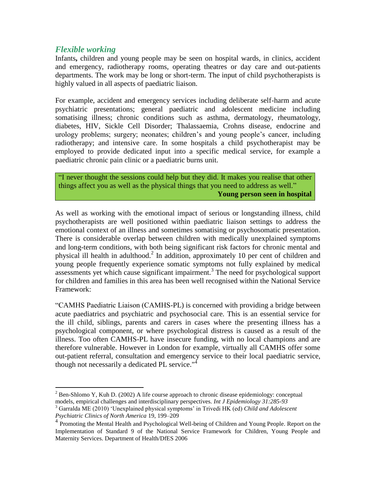### *Flexible working*

 $\overline{a}$ 

Infants**,** children and young people may be seen on hospital wards, in clinics, accident and emergency, radiotherapy rooms, operating theatres or day care and out-patients departments. The work may be long or short-term. The input of child psychotherapists is highly valued in all aspects of paediatric liaison.

For example, accident and emergency services including deliberate self-harm and acute psychiatric presentations; general paediatric and adolescent medicine including somatising illness; chronic conditions such as asthma, dermatology, rheumatology, diabetes, HIV, Sickle Cell Disorder; Thalassaemia, Crohns disease, endocrine and urology problems; surgery; neonates; children's and young people's cancer, including radiotherapy; and intensive care. In some hospitals a child psychotherapist may be employed to provide dedicated input into a specific medical service, for example a paediatric chronic pain clinic or a paediatric burns unit.

"I never thought the sessions could help but they did. It makes you realise that other things affect you as well as the physical things that you need to address as well." **Young person seen in hospital**

As well as working with the emotional impact of serious or longstanding illness, child psychotherapists are well positioned within paediatric liaison settings to address the emotional context of an illness and sometimes somatising or psychosomatic presentation. There is considerable overlap between children with medically unexplained symptoms and long-term conditions, with both being significant risk factors for chronic mental and physical ill health in adulthood.<sup>2</sup> In addition, approximately 10 per cent of children and young people frequently experience somatic symptoms not fully explained by medical  $\frac{1}{2}$  assessments yet which cause significant impairment.<sup>3</sup> The need for psychological support for children and families in this area has been well recognised within the National Service Framework:

"CAMHS Paediatric Liaison (CAMHS-PL) is concerned with providing a bridge between acute paediatrics and psychiatric and psychosocial care. This is an essential service for the ill child, siblings, parents and carers in cases where the presenting illness has a psychological component, or where psychological distress is caused as a result of the illness. Too often CAMHS-PL have insecure funding, with no local champions and are therefore vulnerable. However in London for example, virtually all CAMHS offer some out-patient referral, consultation and emergency service to their local paediatric service, though not necessarily a dedicated PL service."<sup>4</sup>

 $2^2$  Ben-Shlomo Y, Kuh D. (2002) A life course approach to chronic disease epidemiology: conceptual models, empirical challenges and interdisciplinary perspectives. *Int J Epidemiology 31:285-93*

<sup>3</sup> Garralda ME (2010) 'Unexplained physical symptoms' in Trivedi HK (ed) *Child and Adolescent Psychiatric Clinics of North America* 19, 199–209

<sup>&</sup>lt;sup>4</sup> Promoting the Mental Health and Psychological Well-being of Children and Young People. Report on the Implementation of Standard 9 of the National Service Framework for Children, Young People and Maternity Services. Department of Health/DfES 2006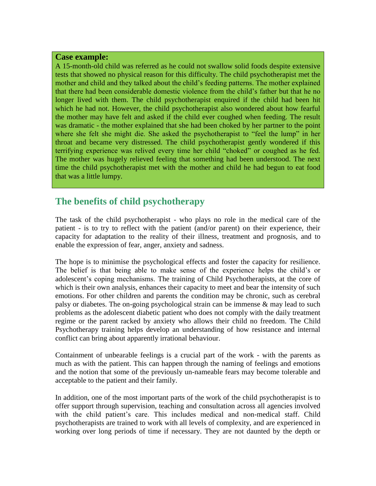#### **Case example:**

A 15-month-old child was referred as he could not swallow solid foods despite extensive tests that showed no physical reason for this difficulty. The child psychotherapist met the mother and child and they talked about the child's feeding patterns. The mother explained that there had been considerable domestic violence from the child's father but that he no longer lived with them. The child psychotherapist enquired if the child had been hit which he had not. However, the child psychotherapist also wondered about how fearful the mother may have felt and asked if the child ever coughed when feeding. The result was dramatic - the mother explained that she had been choked by her partner to the point where she felt she might die. She asked the psychotherapist to "feel the lump" in her throat and became very distressed. The child psychotherapist gently wondered if this terrifying experience was relived every time her child "choked" or coughed as he fed. The mother was hugely relieved feeling that something had been understood. The next time the child psychotherapist met with the mother and child he had begun to eat food that was a little lumpy.

## **The benefits of child psychotherapy**

The task of the child psychotherapist - who plays no role in the medical care of the patient - is to try to reflect with the patient (and/or parent) on their experience, their capacity for adaptation to the reality of their illness, treatment and prognosis, and to enable the expression of fear, anger, anxiety and sadness.

The hope is to minimise the psychological effects and foster the capacity for resilience. The belief is that being able to make sense of the experience helps the child's or adolescent's coping mechanisms. The training of Child Psychotherapists, at the core of which is their own analysis, enhances their capacity to meet and bear the intensity of such emotions. For other children and parents the condition may be chronic, such as cerebral palsy or diabetes. The on-going psychological strain can be immense & may lead to such problems as the adolescent diabetic patient who does not comply with the daily treatment regime or the parent racked by anxiety who allows their child no freedom. The Child Psychotherapy training helps develop an understanding of how resistance and internal conflict can bring about apparently irrational behaviour.

Containment of unbearable feelings is a crucial part of the work - with the parents as much as with the patient. This can happen through the naming of feelings and emotions and the notion that some of the previously un-nameable fears may become tolerable and acceptable to the patient and their family.

In addition, one of the most important parts of the work of the child psychotherapist is to offer support through supervision, teaching and consultation across all agencies involved with the child patient's care. This includes medical and non-medical staff. Child psychotherapists are trained to work with all levels of complexity, and are experienced in working over long periods of time if necessary. They are not daunted by the depth or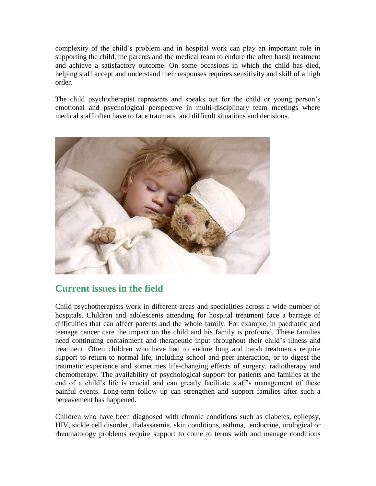complexity of the child's problem and in hospital work can play an important role in supporting the child, the parents and the medical team to endure the often harsh treatment and achieve a satisfactory outcome. On some occasions in which the child has died, helping staff accept and understand their responses requires sensitivity and skill of a high order.

The child psychotherapist represents and speaks out for the child or young person's emotional and psychological perspective in multi-disciplinary team meetings where medical staff often have to face traumatic and difficult situations and decisions.



# **Current issues in the field**

Child psychotherapists work in different areas and specialities across a wide number of hospitals. Children and adolescents attending for hospital treatment face a barrage of difficulties that can affect parents and the whole family. For example, in paediatric and teenage cancer care the impact on the child and his family is profound. These families need continuing containment and therapeutic input throughout their child's illness and treatment. Often children who have had to endure long and harsh treatments require support to return to normal life, including school and peer interaction, or to digest the traumatic experience and sometimes life-changing effects of surgery, radiotherapy and chemotherapy. The availability of psychological support for patients and families at the end of a child's life is crucial and can greatly facilitate staff's management of these painful events. Long-term follow up can strengthen and support families after such a bereavement has happened.

Children who have been diagnosed with chronic conditions such as diabetes, epilepsy, HIV, sickle cell disorder, thalassaemia, skin conditions, asthma, endocrine, urological or rheumatology problems require support to come to terms with and manage conditions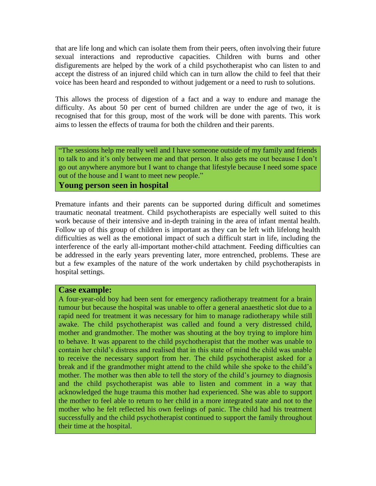that are life long and which can isolate them from their peers, often involving their future sexual interactions and reproductive capacities. Children with burns and other disfigurements are helped by the work of a child psychotherapist who can listen to and accept the distress of an injured child which can in turn allow the child to feel that their voice has been heard and responded to without judgement or a need to rush to solutions.

This allows the process of digestion of a fact and a way to endure and manage the difficulty. As about 50 per cent of burned children are under the age of two, it is recognised that for this group, most of the work will be done with parents. This work aims to lessen the effects of trauma for both the children and their parents.

"The sessions help me really well and I have someone outside of my family and friends to talk to and it's only between me and that person. It also gets me out because I don't go out anywhere anymore but I want to change that lifestyle because I need some space out of the house and I want to meet new people."

#### **Young person seen in hospital**

Premature infants and their parents can be supported during difficult and sometimes traumatic neonatal treatment. Child psychotherapists are especially well suited to this work because of their intensive and in-depth training in the area of infant mental health. Follow up of this group of children is important as they can be left with lifelong health difficulties as well as the emotional impact of such a difficult start in life, including the interference of the early all-important mother-child attachment. Feeding difficulties can be addressed in the early years preventing later, more entrenched, problems. These are but a few examples of the nature of the work undertaken by child psychotherapists in hospital settings.

#### **Case example:**

A four-year-old boy had been sent for emergency radiotherapy treatment for a brain tumour but because the hospital was unable to offer a general anaesthetic slot due to a rapid need for treatment it was necessary for him to manage radiotherapy while still awake. The child psychotherapist was called and found a very distressed child, mother and grandmother. The mother was shouting at the boy trying to implore him to behave. It was apparent to the child psychotherapist that the mother was unable to contain her child's distress and realised that in this state of mind the child was unable to receive the necessary support from her. The child psychotherapist asked for a break and if the grandmother might attend to the child while she spoke to the child's mother. The mother was then able to tell the story of the child's journey to diagnosis and the child psychotherapist was able to listen and comment in a way that acknowledged the huge trauma this mother had experienced. She was able to support the mother to feel able to return to her child in a more integrated state and not to the mother who he felt reflected his own feelings of panic. The child had his treatment successfully and the child psychotherapist continued to support the family throughout their time at the hospital.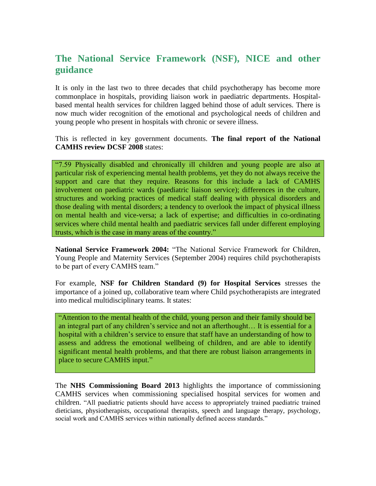# **The National Service Framework (NSF), NICE and other guidance**

It is only in the last two to three decades that child psychotherapy has become more commonplace in hospitals, providing liaison work in paediatric departments. Hospitalbased mental health services for children lagged behind those of adult services. There is now much wider recognition of the emotional and psychological needs of children and young people who present in hospitals with chronic or severe illness.

This is reflected in key government documents. **The final report of the National CAMHS review DCSF 2008** states:

"7.59 Physically disabled and chronically ill children and young people are also at particular risk of experiencing mental health problems, yet they do not always receive the support and care that they require. Reasons for this include a lack of CAMHS involvement on paediatric wards (paediatric liaison service); differences in the culture, structures and working practices of medical staff dealing with physical disorders and those dealing with mental disorders; a tendency to overlook the impact of physical illness on mental health and vice-versa; a lack of expertise; and difficulties in co-ordinating services where child mental health and paediatric services fall under different employing trusts, which is the case in many areas of the country."

**National Service Framework 2004:** "The National Service Framework for Children, Young People and Maternity Services (September 2004) requires child psychotherapists to be part of every CAMHS team."

For example, **NSF for Children Standard (9) for Hospital Services** stresses the importance of a joined up, collaborative team where Child psychotherapists are integrated into medical multidisciplinary teams. It states:

"Attention to the mental health of the child, young person and their family should be an integral part of any children's service and not an afterthought… It is essential for a hospital with a children's service to ensure that staff have an understanding of how to assess and address the emotional wellbeing of children, and are able to identify significant mental health problems, and that there are robust liaison arrangements in place to secure CAMHS input."

The **NHS Commissioning Board 2013** highlights the importance of commissioning CAMHS services when commissioning specialised hospital services for women and children. "All paediatric patients should have access to appropriately trained paediatric trained dieticians, physiotherapists, occupational therapists, speech and language therapy, psychology, social work and CAMHS services within nationally defined access standards."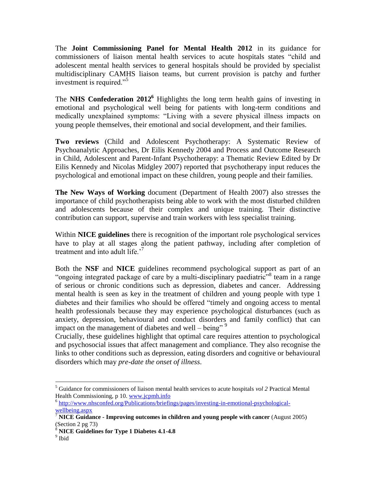The **Joint Commissioning Panel for Mental Health 2012** in its guidance for commissioners of liaison mental health services to acute hospitals states "child and adolescent mental health services to general hospitals should be provided by specialist multidisciplinary CAMHS liaison teams, but current provision is patchy and further investment is required."<sup>5</sup>

The **NHS Confederation 2012<sup>6</sup>** Highlights the long term health gains of investing in emotional and psychological well being for patients with long-term conditions and medically unexplained symptoms: "Living with a severe physical illness impacts on young people themselves, their emotional and social development, and their families.

**Two reviews** (Child and Adolescent Psychotherapy: A Systematic Review of Psychoanalytic Approaches, Dr Eilis Kennedy 2004 and Process and Outcome Research in Child, Adolescent and Parent-Infant Psychotherapy: a Thematic Review Edited by Dr Eilis Kennedy and Nicolas Midgley 2007) reported that psychotherapy input reduces the psychological and emotional impact on these children, young people and their families.

**The New Ways of Working** document (Department of Health 2007) also stresses the importance of child psychotherapists being able to work with the most disturbed children and adolescents because of their complex and unique training. Their distinctive contribution can support, supervise and train workers with less specialist training.

Within **NICE guidelines** there is recognition of the important role psychological services have to play at all stages along the patient pathway, including after completion of treatment and into adult life.<sup>7</sup>

Both the **NSF** and **NICE** guidelines recommend psychological support as part of an "ongoing integrated package of care by a multi-disciplinary paediatric<sup>38</sup> team in a range of serious or chronic conditions such as depression, diabetes and cancer. Addressing mental health is seen as key in the treatment of children and young people with type 1 diabetes and their families who should be offered "timely and ongoing access to mental health professionals because they may experience psychological disturbances (such as anxiety, depression, behavioural and conduct disorders and family conflict) that can impact on the management of diabetes and well – being"<sup>9</sup>

Crucially, these guidelines highlight that optimal care requires attention to psychological and psychosocial issues that affect management and compliance. They also recognise the links to other conditions such as depression, eating disorders and cognitive or behavioural disorders which may *pre-date the onset of illness*.

 $\overline{a}$ 

<sup>5</sup> Guidance for commissioners of liaison mental health services to acute hospitals *vol 2* Practical Mental Health Commissioning*,* p 10. [www.jcpmh.info](http://www.jcpmh.info/)

<sup>&</sup>lt;sup>6</sup> [http://www.nhsconfed.org/Publications/briefings/pages/investing-in-emotional-psychological](http://www.nhsconfed.org/Publications/briefings/pages/investing-in-emotional-psychological-wellbeing.aspx)[wellbeing.aspx](http://www.nhsconfed.org/Publications/briefings/pages/investing-in-emotional-psychological-wellbeing.aspx)

<sup>7</sup> **NICE Guidance - Improving outcomes in children and young people with cancer** (August 2005) (Section 2 pg 73)

<sup>8</sup> **NICE Guidelines for Type 1 Diabetes 4.1-4.8**

<sup>&</sup>lt;sup>9</sup> Ibid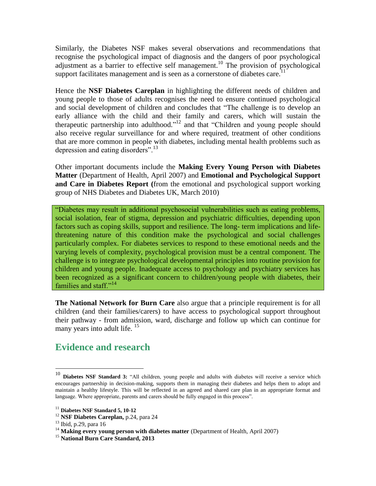Similarly, the Diabetes NSF makes several observations and recommendations that recognise the psychological impact of diagnosis and the dangers of poor psychological adjustment as a barrier to effective self management.<sup>10</sup> The provision of psychological support facilitates management and is seen as a cornerstone of diabetes care.<sup>1</sup>

Hence the **NSF Diabetes Careplan** in highlighting the different needs of children and young people to those of adults recognises the need to ensure continued psychological and social development of children and concludes that "The challenge is to develop an early alliance with the child and their family and carers, which will sustain the therapeutic partnership into adulthood."<sup>12</sup> and that "Children and young people should also receive regular surveillance for and where required, treatment of other conditions that are more common in people with diabetes, including mental health problems such as depression and eating disorders".<sup>13</sup>

Other important documents include the **Making Every Young Person with Diabetes Matter** (Department of Health, April 2007) and **Emotional and Psychological Support and Care in Diabetes Report (**from the emotional and psychological support working group of NHS Diabetes and Diabetes UK, March 2010)

"Diabetes may result in additional psychosocial vulnerabilities such as eating problems, social isolation, fear of stigma, depression and psychiatric difficulties, depending upon factors such as coping skills, support and resilience. The long- term implications and lifethreatening nature of this condition make the psychological and social challenges particularly complex. For diabetes services to respond to these emotional needs and the varying levels of complexity, psychological provision must be a central component. The challenge is to integrate psychological developmental principles into routine provision for children and young people. Inadequate access to psychology and psychiatry services has been recognized as a significant concern to children/young people with diabetes, their families and staff."<sup>14</sup>

**The National Network for Burn Care** also argue that a principle requirement is for all children (and their families/carers) to have access to psychological support throughout their pathway - from admission, ward, discharge and follow up which can continue for many years into adult life.  $15$ 

### **Evidence and research**

 $\overline{a}$ 

<sup>10</sup> **Diabetes NSF Standard 3:** "All children, young people and adults with diabetes will receive a service which encourages partnership in decision-making, supports them in managing their diabetes and helps them to adopt and maintain a healthy lifestyle. This will be reflected in an agreed and shared care plan in an appropriate format and language. Where appropriate, parents and carers should be fully engaged in this process".

<sup>11</sup> **Diabetes NSF Standard 5, 10-12**

<sup>12</sup> **NSF Diabetes Careplan,** p.24, para 24

 $13$  Ibid, p.29, para 16

<sup>&</sup>lt;sup>14</sup> Making every young person with diabetes matter (Department of Health, April 2007)

<sup>15</sup> **National Burn Care Standard, 2013**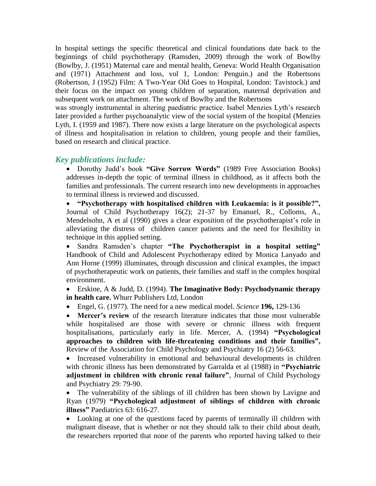In hospital settings the specific theoretical and clinical foundations date back to the beginnings of child psychotherapy (Ramsden, 2009) through the work of Bowlby (Bowlby, J. (1951) Maternal care and mental health, Geneva: World Health Organisation and (1971) Attachment and loss, vol 1, London: Penguin.) and the Robertsons (Robertson, J (1952) Film: A Two-Year Old Goes to Hospital, London: Tavistock.) and their focus on the impact on young children of separation, maternal deprivation and subsequent work on attachment. The work of Bowlby and the Robertsons

was strongly instrumental in altering paediatric practice. Isabel Menzies Lyth's research later provided a further psychoanalytic view of the social system of the hospital (Menzies Lyth, I. (1959 and 1987). There now exists a large literature on the psychological aspects of illness and hospitalisation in relation to children, young people and their families, based on research and clinical practice.

### *Key publications include:*

 Dorothy Judd's book **"Give Sorrow Words"** (1989 Free Association Books) addresses in-depth the topic of terminal illness in childhood, as it affects both the families and professionals. The current research into new developments in approaches to terminal illness is reviewed and discussed.

 **"Psychotherapy with hospitalised children with Leukaemia: is it possible?",** Journal of Child Psychotherapy 16(2); 21-37 by Emanuel, R., Colloms, A., Mendelsohn, A et al (1990) gives a clear exposition of the psychotherapist's role in alleviating the distress of children cancer patients and the need for flexibility in technique in this applied setting.

 Sandra Ramsden's chapter **"The Psychotherapist in a hospital setting"** Handbook of Child and Adolescent Psychotherapy edited by Monica Lanyado and Ann Horne (1999) illuminates, through discussion and clinical examples, the impact of psychotherapeutic work on patients, their families and staff in the complex hospital environment.

 Erskine, A & Judd, D. (1994). **The Imaginative Body: Psychodynamic therapy in health care.** Whurr Publishers Ltd, London

Engel, G. (1977). The need for a new medical model. *Science* **196,** 129-136

 **Mercer's review** of the research literature indicates that those most vulnerable while hospitalised are those with severe or chronic illness with frequent hospitalisations, particularly early in life. Mercer, A. (1994) **"Psychological approaches to children with life-threatening conditions and their families",** Review of the Association for Child Psychology and Psychiatry 16 (2) 56-63.

 Increased vulnerability in emotional and behavioural developments in children with chronic illness has been demonstrated by Garralda et al (1988) in **"Psychiatric adjustment in children with chronic renal failure"**, Journal of Child Psychology and Psychiatry 29: 79-90.

• The vulnerability of the siblings of ill children has been shown by Lavigne and Ryan (1979) **"Psychological adjustment of siblings of children with chronic illness"** Paediatrics 63: 616-27.

• Looking at one of the questions faced by parents of terminally ill children with malignant disease, that is whether or not they should talk to their child about death, the researchers reported that none of the parents who reported having talked to their